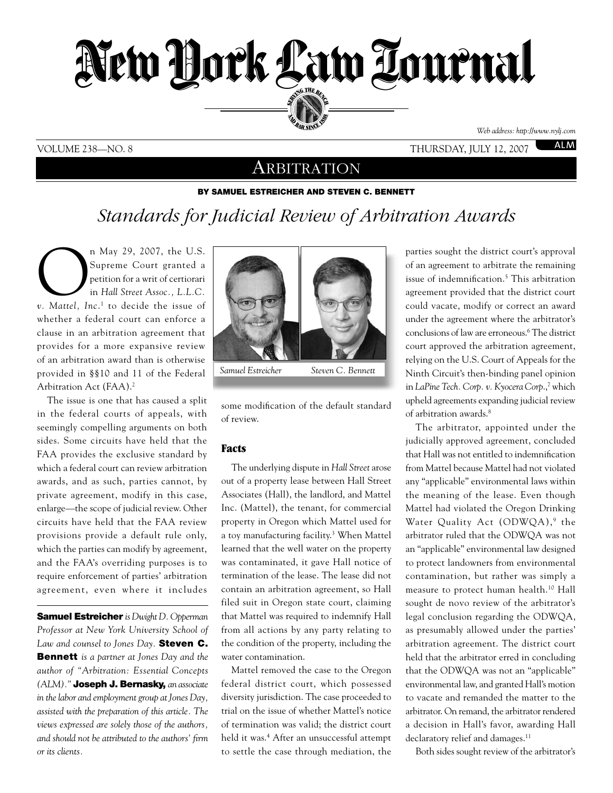

#### VOLUME 238—NO. 8 thursday, july 12, 2007

*Web address: http://www.nylj.com*

**ALM** 

## **ARBITRATION**

#### By Samuel Estreicher and Steven C. Bennett

# *Standards for Judicial Review of Arbitration Awards*

n May 29, 2007, the U.S.<br> *Supreme Court granted a*<br>
petition for a writ of certiorari<br> *v.* Mattel, Inc.<sup>1</sup> to decide the issue of Supreme Court granted a petition for a writ of certiorari in *Hall Street Assoc., L.L.C.*  whether a federal court can enforce a clause in an arbitration agreement that provides for a more expansive review of an arbitration award than is otherwise provided in §§10 and 11 of the Federal Arbitration Act (FAA).<sup>2</sup>

The issue is one that has caused a split in the federal courts of appeals, with seemingly compelling arguments on both sides. Some circuits have held that the FAA provides the exclusive standard by which a federal court can review arbitration awards, and as such, parties cannot, by private agreement, modify in this case, enlarge—the scope of judicial review. Other circuits have held that the FAA review provisions provide a default rule only, which the parties can modify by agreement, and the FAA's overriding purposes is to require enforcement of parties' arbitration agreement, even where it includes

Samuel Estreicher *is Dwight D. Opperman Professor at New York University School of Law and counsel to Jones Day.* Steven C. Bennett *is a partner at Jones Day and the author of "Arbitration: Essential Concepts (ALM)."* Joseph J. Bernasky, *an associate in the labor and employment group at Jones Day, assisted with the preparation of this article. The views expressed are solely those of the authors, and should not be attributed to the authors' firm or its clients.*



some modification of the default standard of review.

#### Facts

The underlying dispute in *Hall Street* arose out of a property lease between Hall Street Associates (Hall), the landlord, and Mattel Inc. (Mattel), the tenant, for commercial property in Oregon which Mattel used for a toy manufacturing facility.<sup>3</sup> When Mattel learned that the well water on the property was contaminated, it gave Hall notice of termination of the lease. The lease did not contain an arbitration agreement, so Hall filed suit in Oregon state court, claiming that Mattel was required to indemnify Hall from all actions by any party relating to the condition of the property, including the water contamination.

Mattel removed the case to the Oregon federal district court, which possessed diversity jurisdiction. The case proceeded to trial on the issue of whether Mattel's notice of termination was valid; the district court held it was.4 After an unsuccessful attempt to settle the case through mediation, the

parties sought the district court's approval of an agreement to arbitrate the remaining issue of indemnification.<sup>5</sup> This arbitration agreement provided that the district court could vacate, modify or correct an award under the agreement where the arbitrator's conclusions of law are erroneous.6 The district court approved the arbitration agreement, relying on the U.S. Court of Appeals for the Ninth Circuit's then-binding panel opinion in *LaPine Tech. Corp. v. Kyocera Corp.,<sup>7</sup> which* upheld agreements expanding judicial review of arbitration awards.<sup>8</sup>

The arbitrator, appointed under the judicially approved agreement, concluded that Hall was not entitled to indemnification from Mattel because Mattel had not violated any "applicable" environmental laws within the meaning of the lease. Even though Mattel had violated the Oregon Drinking Water Quality Act (ODWQA),<sup>9</sup> the arbitrator ruled that the ODWQA was not an "applicable" environmental law designed to protect landowners from environmental contamination, but rather was simply a measure to protect human health.<sup>10</sup> Hall sought de novo review of the arbitrator's legal conclusion regarding the ODWQA, as presumably allowed under the parties' arbitration agreement. The district court held that the arbitrator erred in concluding that the ODWQA was not an "applicable" environmental law, and granted Hall's motion to vacate and remanded the matter to the arbitrator. On remand, the arbitrator rendered a decision in Hall's favor, awarding Hall declaratory relief and damages.<sup>11</sup>

Both sides sought review of the arbitrator's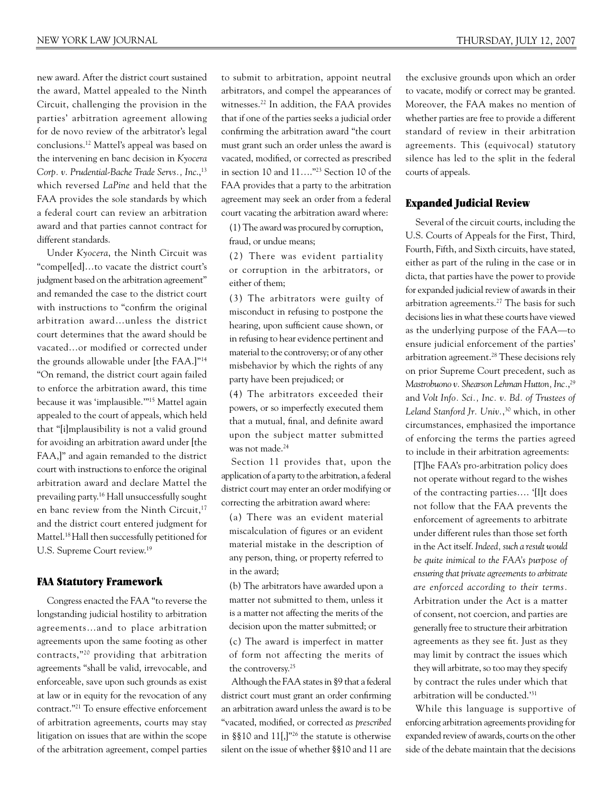new award. After the district court sustained the award, Mattel appealed to the Ninth Circuit, challenging the provision in the parties' arbitration agreement allowing for de novo review of the arbitrator's legal conclusions.12 Mattel's appeal was based on the intervening en banc decision in *Kyocera*  Corp. v. Prudential-Bache Trade Servs., Inc.,<sup>13</sup> which reversed *LaPine* and held that the FAA provides the sole standards by which a federal court can review an arbitration award and that parties cannot contract for different standards.

Under *Kyocera*, the Ninth Circuit was "compel[ed]…to vacate the district court's judgment based on the arbitration agreement" and remanded the case to the district court with instructions to "confirm the original arbitration award…unless the district court determines that the award should be vacated…or modified or corrected under the grounds allowable under [the FAA.]"14 "On remand, the district court again failed to enforce the arbitration award, this time because it was 'implausible.'"15 Mattel again appealed to the court of appeals, which held that "[i]mplausibility is not a valid ground for avoiding an arbitration award under [the FAA,]" and again remanded to the district court with instructions to enforce the original arbitration award and declare Mattel the prevailing party.16 Hall unsuccessfully sought en banc review from the Ninth Circuit,<sup>17</sup> and the district court entered judgment for Mattel.18 Hall then successfully petitioned for U.S. Supreme Court review.19

#### FAA Statutory Framework

Congress enacted the FAA "to reverse the longstanding judicial hostility to arbitration agreements…and to place arbitration agreements upon the same footing as other contracts,"20 providing that arbitration agreements "shall be valid, irrevocable, and enforceable, save upon such grounds as exist at law or in equity for the revocation of any contract."21 To ensure effective enforcement of arbitration agreements, courts may stay litigation on issues that are within the scope of the arbitration agreement, compel parties

to submit to arbitration, appoint neutral arbitrators, and compel the appearances of witnesses.22 In addition, the FAA provides that if one of the parties seeks a judicial order confirming the arbitration award "the court must grant such an order unless the award is vacated, modified, or corrected as prescribed in section 10 and 11…."23 Section 10 of the FAA provides that a party to the arbitration agreement may seek an order from a federal court vacating the arbitration award where:

(1) The award was procured by corruption, fraud, or undue means;

(2) There was evident partiality or corruption in the arbitrators, or either of them;

(3) The arbitrators were guilty of misconduct in refusing to postpone the hearing, upon sufficient cause shown, or in refusing to hear evidence pertinent and material to the controversy; or of any other misbehavior by which the rights of any party have been prejudiced; or

(4) The arbitrators exceeded their powers, or so imperfectly executed them that a mutual, final, and definite award upon the subject matter submitted was not made.<sup>24</sup>

Section 11 provides that, upon the application of a party to the arbitration, a federal district court may enter an order modifying or correcting the arbitration award where:

(a) There was an evident material miscalculation of figures or an evident material mistake in the description of any person, thing, or property referred to in the award;

(b) The arbitrators have awarded upon a matter not submitted to them, unless it is a matter not affecting the merits of the decision upon the matter submitted; or

(c) The award is imperfect in matter of form not affecting the merits of the controversy.25

Although the FAA states in §9 that a federal district court must grant an order confirming an arbitration award unless the award is to be "vacated, modified, or corrected *as prescribed* in §§10 and 11[,]"26 the statute is otherwise silent on the issue of whether §§10 and 11 are the exclusive grounds upon which an order to vacate, modify or correct may be granted. Moreover, the FAA makes no mention of whether parties are free to provide a different standard of review in their arbitration agreements. This (equivocal) statutory silence has led to the split in the federal courts of appeals.

### Expanded Judicial Review

Several of the circuit courts, including the U.S. Courts of Appeals for the First, Third, Fourth, Fifth, and Sixth circuits, have stated, either as part of the ruling in the case or in dicta, that parties have the power to provide for expanded judicial review of awards in their arbitration agreements.27 The basis for such decisions lies in what these courts have viewed as the underlying purpose of the FAA—to ensure judicial enforcement of the parties' arbitration agreement.28 These decisions rely on prior Supreme Court precedent, such as *Mastrobuono v. Shearson Lehman Hutton, Inc.*, 29 and *Volt Info. Sci., Inc. v. Bd. of Trustees of Leland Stanford Jr. Univ.*, 30 which, in other circumstances, emphasized the importance of enforcing the terms the parties agreed to include in their arbitration agreements:

[T]he FAA's pro-arbitration policy does not operate without regard to the wishes of the contracting parties…. '[I]t does not follow that the FAA prevents the enforcement of agreements to arbitrate under different rules than those set forth in the Act itself. *Indeed, such a result would be quite inimical to the FAA's purpose of ensuring that private agreements to arbitrate are enforced according to their terms.*  Arbitration under the Act is a matter of consent, not coercion, and parties are generally free to structure their arbitration agreements as they see fit. Just as they may limit by contract the issues which they will arbitrate, so too may they specify by contract the rules under which that arbitration will be conducted.'31

While this language is supportive of enforcing arbitration agreements providing for expanded review of awards, courts on the other side of the debate maintain that the decisions